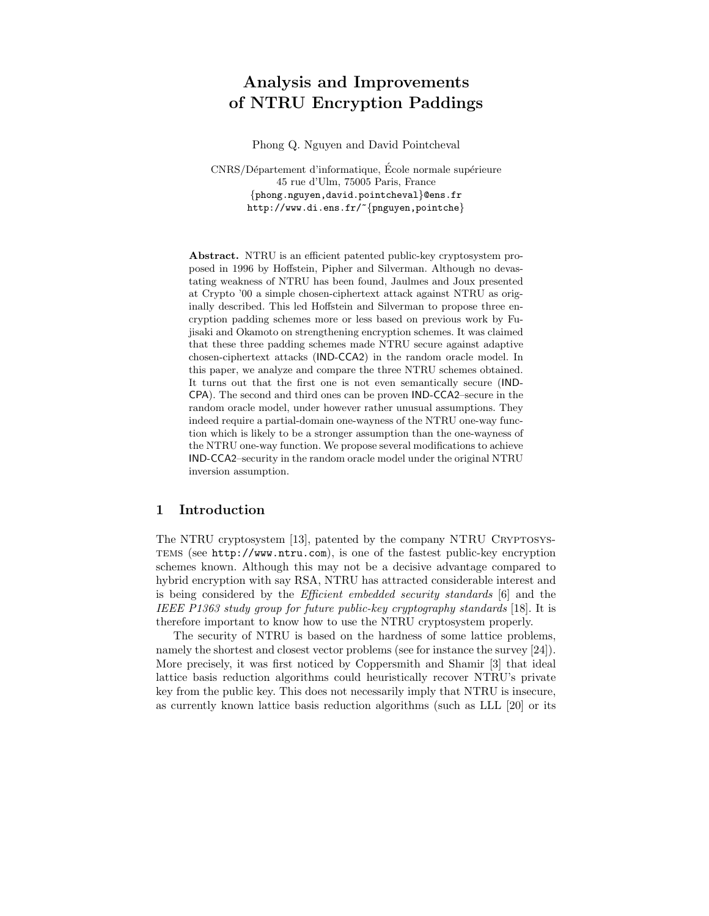# Analysis and Improvements of NTRU Encryption Paddings

Phong Q. Nguyen and David Pointcheval

CNRS/Département d'informatique, École normale supérieure 45 rue d'Ulm, 75005 Paris, France {phong.nguyen,david.pointcheval}@ens.fr http://www.di.ens.fr/~{pnguyen,pointche}

Abstract. NTRU is an efficient patented public-key cryptosystem proposed in 1996 by Hoffstein, Pipher and Silverman. Although no devastating weakness of NTRU has been found, Jaulmes and Joux presented at Crypto '00 a simple chosen-ciphertext attack against NTRU as originally described. This led Hoffstein and Silverman to propose three encryption padding schemes more or less based on previous work by Fujisaki and Okamoto on strengthening encryption schemes. It was claimed that these three padding schemes made NTRU secure against adaptive chosen-ciphertext attacks (IND-CCA2) in the random oracle model. In this paper, we analyze and compare the three NTRU schemes obtained. It turns out that the first one is not even semantically secure (IND-CPA). The second and third ones can be proven IND-CCA2–secure in the random oracle model, under however rather unusual assumptions. They indeed require a partial-domain one-wayness of the NTRU one-way function which is likely to be a stronger assumption than the one-wayness of the NTRU one-way function. We propose several modifications to achieve IND-CCA2–security in the random oracle model under the original NTRU inversion assumption.

# 1 Introduction

The NTRU cryptosystem [13], patented by the company NTRU CRYPTOSYStems (see http://www.ntru.com), is one of the fastest public-key encryption schemes known. Although this may not be a decisive advantage compared to hybrid encryption with say RSA, NTRU has attracted considerable interest and is being considered by the Efficient embedded security standards [6] and the IEEE P1363 study group for future public-key cryptography standards [18]. It is therefore important to know how to use the NTRU cryptosystem properly.

The security of NTRU is based on the hardness of some lattice problems, namely the shortest and closest vector problems (see for instance the survey [24]). More precisely, it was first noticed by Coppersmith and Shamir [3] that ideal lattice basis reduction algorithms could heuristically recover NTRU's private key from the public key. This does not necessarily imply that NTRU is insecure, as currently known lattice basis reduction algorithms (such as LLL [20] or its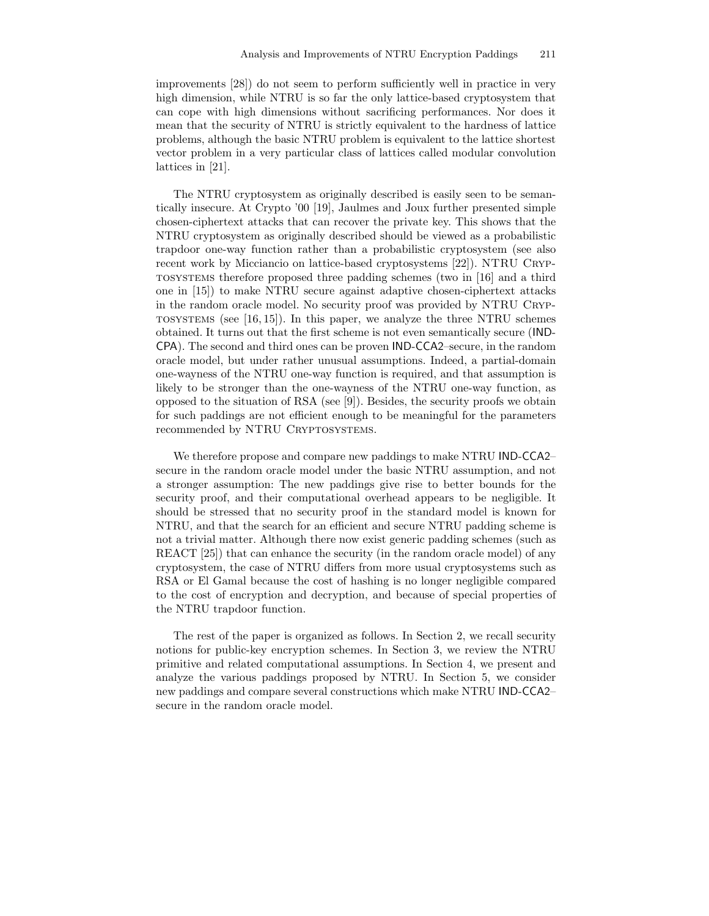improvements [28]) do not seem to perform sufficiently well in practice in very high dimension, while NTRU is so far the only lattice-based cryptosystem that can cope with high dimensions without sacrificing performances. Nor does it mean that the security of NTRU is strictly equivalent to the hardness of lattice problems, although the basic NTRU problem is equivalent to the lattice shortest vector problem in a very particular class of lattices called modular convolution lattices in [21].

The NTRU cryptosystem as originally described is easily seen to be semantically insecure. At Crypto '00 [19], Jaulmes and Joux further presented simple chosen-ciphertext attacks that can recover the private key. This shows that the NTRU cryptosystem as originally described should be viewed as a probabilistic trapdoor one-way function rather than a probabilistic cryptosystem (see also recent work by Micciancio on lattice-based cryptosystems [22]). NTRU CRYPtosystems therefore proposed three padding schemes (two in [16] and a third one in [15]) to make NTRU secure against adaptive chosen-ciphertext attacks in the random oracle model. No security proof was provided by NTRU Cryp-TOSYSTEMS (see  $[16, 15]$ ). In this paper, we analyze the three NTRU schemes obtained. It turns out that the first scheme is not even semantically secure (IND-CPA). The second and third ones can be proven IND-CCA2–secure, in the random oracle model, but under rather unusual assumptions. Indeed, a partial-domain one-wayness of the NTRU one-way function is required, and that assumption is likely to be stronger than the one-wayness of the NTRU one-way function, as opposed to the situation of RSA (see [9]). Besides, the security proofs we obtain for such paddings are not efficient enough to be meaningful for the parameters recommended by NTRU CRYPTOSYSTEMS.

We therefore propose and compare new paddings to make NTRU IND-CCA2– secure in the random oracle model under the basic NTRU assumption, and not a stronger assumption: The new paddings give rise to better bounds for the security proof, and their computational overhead appears to be negligible. It should be stressed that no security proof in the standard model is known for NTRU, and that the search for an efficient and secure NTRU padding scheme is not a trivial matter. Although there now exist generic padding schemes (such as REACT [25]) that can enhance the security (in the random oracle model) of any cryptosystem, the case of NTRU differs from more usual cryptosystems such as RSA or El Gamal because the cost of hashing is no longer negligible compared to the cost of encryption and decryption, and because of special properties of the NTRU trapdoor function.

The rest of the paper is organized as follows. In Section 2, we recall security notions for public-key encryption schemes. In Section 3, we review the NTRU primitive and related computational assumptions. In Section 4, we present and analyze the various paddings proposed by NTRU. In Section 5, we consider new paddings and compare several constructions which make NTRU IND-CCA2– secure in the random oracle model.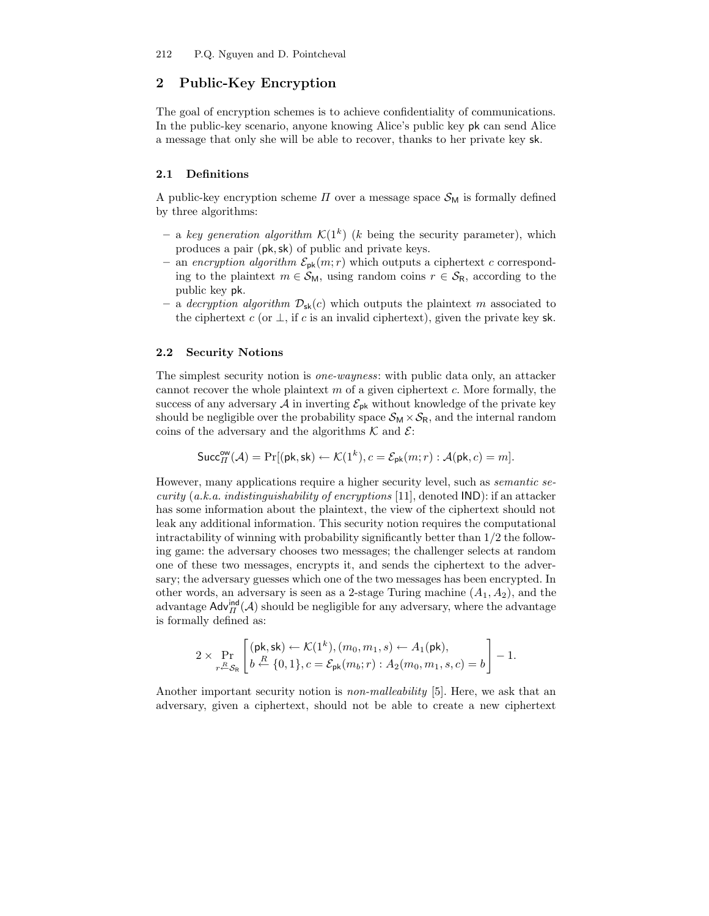# 2 Public-Key Encryption

The goal of encryption schemes is to achieve confidentiality of communications. In the public-key scenario, anyone knowing Alice's public key pk can send Alice a message that only she will be able to recover, thanks to her private key sk.

## 2.1 Definitions

A public-key encryption scheme  $\Pi$  over a message space  $\mathcal{S}_{M}$  is formally defined by three algorithms:

- a key generation algorithm  $\mathcal{K}(1^k)$  (k being the security parameter), which produces a pair (pk,sk) of public and private keys.
- an encryption algorithm  $\mathcal{E}_{\text{pk}}(m;r)$  which outputs a ciphertext c corresponding to the plaintext  $m \in S_M$ , using random coins  $r \in S_R$ , according to the public key pk.
- a decryption algorithm  $\mathcal{D}_{sk}(c)$  which outputs the plaintext m associated to the ciphertext c (or  $\perp$ , if c is an invalid ciphertext), given the private key sk.

## 2.2 Security Notions

The simplest security notion is one-wayness: with public data only, an attacker cannot recover the whole plaintext  $m$  of a given ciphertext  $c$ . More formally, the success of any adversary A in inverting  $\mathcal{E}_{\text{pk}}$  without knowledge of the private key should be negligible over the probability space  $\mathcal{S}_{M} \times \mathcal{S}_{R}$ , and the internal random coins of the adversary and the algorithms  $K$  and  $\mathcal{E}$ :

$$
\mathsf{Succ}^{\mathsf{ow}}_{\varPi}(\mathcal{A}) = \Pr[(\mathsf{pk},\mathsf{sk}) \leftarrow \mathcal{K}(1^k), c = \mathcal{E}_{\mathsf{pk}}(m;r) : \mathcal{A}(\mathsf{pk},c) = m].
$$

However, many applications require a higher security level, such as semantic security (a.k.a. indistinguishability of encryptions [11], denoted  $\mathsf{IND}$ : if an attacker has some information about the plaintext, the view of the ciphertext should not leak any additional information. This security notion requires the computational intractability of winning with probability significantly better than  $1/2$  the following game: the adversary chooses two messages; the challenger selects at random one of these two messages, encrypts it, and sends the ciphertext to the adversary; the adversary guesses which one of the two messages has been encrypted. In other words, an adversary is seen as a 2-stage Turing machine  $(A_1, A_2)$ , and the advantage  $\mathsf{Adv}_{\Pi}^{\mathsf{ind}}(\mathcal{A})$  should be negligible for any adversary, where the advantage is formally defined as:

$$
2\times \Pr_{r\leftarrow \mathcal{S}_{\mathsf{R}}}\left[\begin{matrix}(\mathsf{pk},\mathsf{sk})\leftarrow \mathcal{K}(1^{k}), (m_0,m_1,s)\leftarrow A_1(\mathsf{pk}), \\ b\stackrel{R}{\leftarrow}\{0,1\}, c=\mathcal{E}_{\mathsf{pk}}(m_b;r): A_2(m_0,m_1,s,c)=b\end{matrix}\right]-1.
$$

Another important security notion is non-malleability [5]. Here, we ask that an adversary, given a ciphertext, should not be able to create a new ciphertext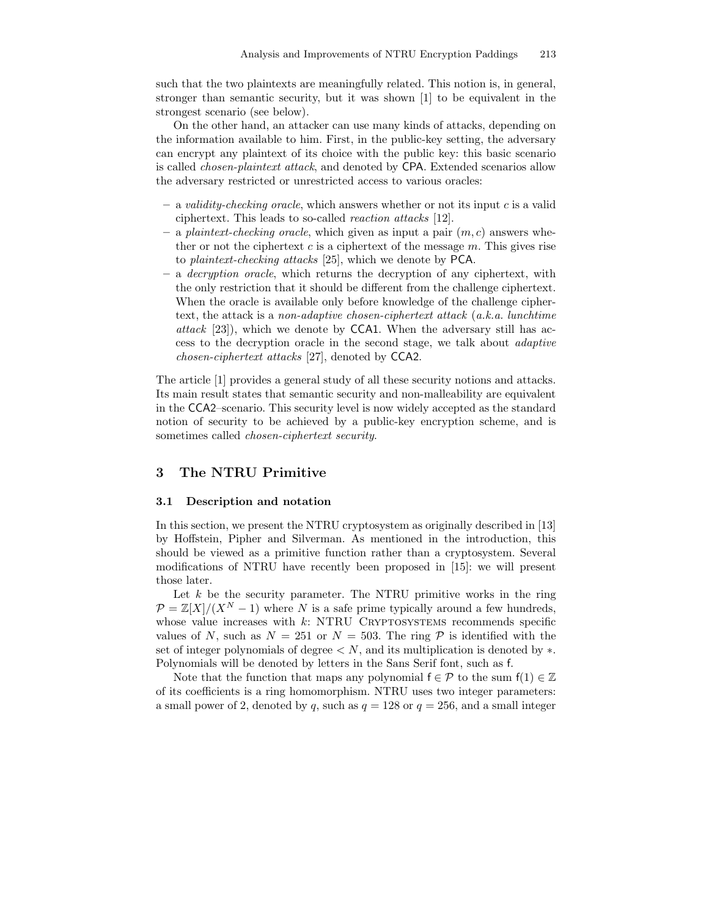such that the two plaintexts are meaningfully related. This notion is, in general, stronger than semantic security, but it was shown [1] to be equivalent in the strongest scenario (see below).

On the other hand, an attacker can use many kinds of attacks, depending on the information available to him. First, in the public-key setting, the adversary can encrypt any plaintext of its choice with the public key: this basic scenario is called chosen-plaintext attack, and denoted by CPA. Extended scenarios allow the adversary restricted or unrestricted access to various oracles:

- $-$  a validity-checking oracle, which answers whether or not its input c is a valid ciphertext. This leads to so-called reaction attacks [12].
- a plaintext-checking oracle, which given as input a pair  $(m, c)$  answers whether or not the ciphertext  $c$  is a ciphertext of the message  $m$ . This gives rise to plaintext-checking attacks [25], which we denote by PCA.
- a decryption oracle, which returns the decryption of any ciphertext, with the only restriction that it should be different from the challenge ciphertext. When the oracle is available only before knowledge of the challenge ciphertext, the attack is a non-adaptive chosen-ciphertext attack (a.k.a. lunchtime attack  $[23]$ , which we denote by CCA1. When the adversary still has access to the decryption oracle in the second stage, we talk about adaptive chosen-ciphertext attacks [27], denoted by CCA2.

The article [1] provides a general study of all these security notions and attacks. Its main result states that semantic security and non-malleability are equivalent in the CCA2–scenario. This security level is now widely accepted as the standard notion of security to be achieved by a public-key encryption scheme, and is sometimes called chosen-ciphertext security.

# 3 The NTRU Primitive

## 3.1 Description and notation

In this section, we present the NTRU cryptosystem as originally described in [13] by Hoffstein, Pipher and Silverman. As mentioned in the introduction, this should be viewed as a primitive function rather than a cryptosystem. Several modifications of NTRU have recently been proposed in [15]: we will present those later.

Let  $k$  be the security parameter. The NTRU primitive works in the ring  $\mathcal{P} = \mathbb{Z}[X]/(X^N - 1)$  where N is a safe prime typically around a few hundreds, whose value increases with  $k$ : NTRU CRYPTOSYSTEMS recommends specific values of N, such as  $N = 251$  or  $N = 503$ . The ring P is identified with the set of integer polynomials of degree  $\langle N \rangle$ , and its multiplication is denoted by  $\ast$ . Polynomials will be denoted by letters in the Sans Serif font, such as f.

Note that the function that maps any polynomial  $f \in \mathcal{P}$  to the sum  $f(1) \in \mathbb{Z}$ of its coefficients is a ring homomorphism. NTRU uses two integer parameters: a small power of 2, denoted by q, such as  $q = 128$  or  $q = 256$ , and a small integer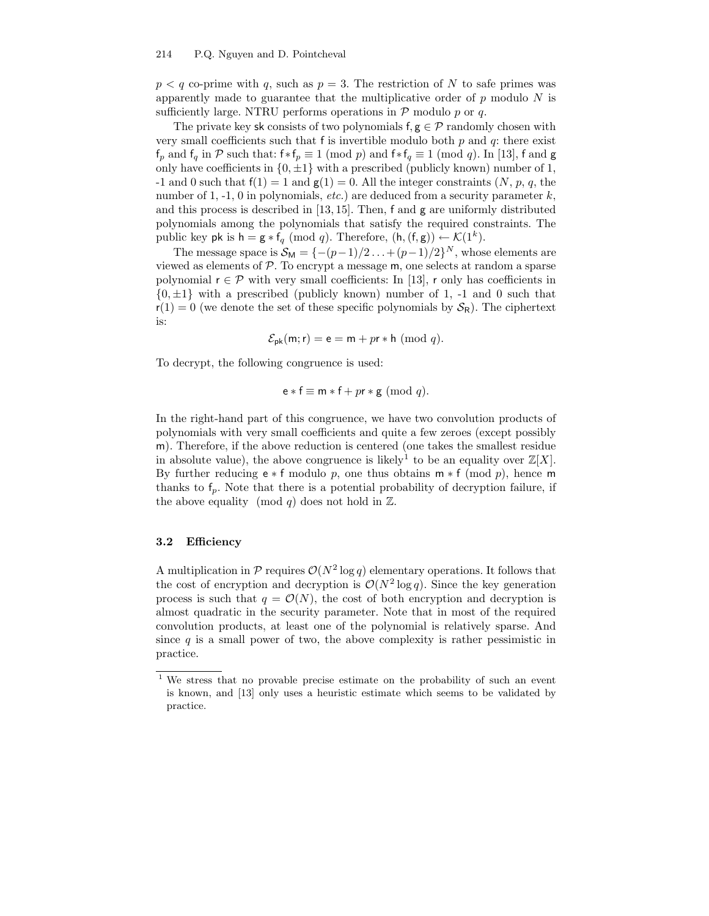#### 214 P.Q. Nguyen and D. Pointcheval

 $p < q$  co-prime with q, such as  $p = 3$ . The restriction of N to safe primes was apparently made to guarantee that the multiplicative order of  $p$  modulo  $N$  is sufficiently large. NTRU performs operations in  $P$  modulo p or q.

The private key sk consists of two polynomials  $f, g \in \mathcal{P}$  randomly chosen with very small coefficients such that f is invertible modulo both  $p$  and  $q$ : there exist  $f_p$  and  $f_q$  in P such that:  $f*f_p \equiv 1 \pmod{p}$  and  $f*f_q \equiv 1 \pmod{q}$ . In [13], f and g only have coefficients in  $\{0, \pm 1\}$  with a prescribed (publicly known) number of 1, -1 and 0 such that  $f(1) = 1$  and  $g(1) = 0$ . All the integer constraints  $(N, p, q,$  the number of 1, -1, 0 in polynomials,  $etc.$ ) are deduced from a security parameter k, and this process is described in [13, 15]. Then, f and g are uniformly distributed polynomials among the polynomials that satisfy the required constraints. The public key pk is  $h = g * f_q \pmod{q}$ . Therefore,  $(h, (f, g)) \leftarrow \mathcal{K}(1^k)$ .

The message space is  $S_M = \{-(p-1)/2 \dots + (p-1)/2\}^N$ , whose elements are viewed as elements of  $P$ . To encrypt a message  $m$ , one selects at random a sparse polynomial  $r \in \mathcal{P}$  with very small coefficients: In [13], r only has coefficients in  $\{0, \pm 1\}$  with a prescribed (publicly known) number of 1, -1 and 0 such that  $r(1) = 0$  (we denote the set of these specific polynomials by  $S_R$ ). The ciphertext is:

$$
\mathcal{E}_{\mathsf{pk}}(\mathsf{m}; \mathsf{r}) = \mathsf{e} = \mathsf{m} + p\mathsf{r} * \mathsf{h} \ (\mathrm{mod} \ q).
$$

To decrypt, the following congruence is used:

$$
e * f \equiv m * f + pr * g \pmod{q}.
$$

In the right-hand part of this congruence, we have two convolution products of polynomials with very small coefficients and quite a few zeroes (except possibly m). Therefore, if the above reduction is centered (one takes the smallest residue in absolute value), the above congruence is likely<sup>1</sup> to be an equality over  $\mathbb{Z}[X]$ . By further reducing  $e * f$  modulo p, one thus obtains  $m * f$  (mod p), hence m thanks to  $f_p$ . Note that there is a potential probability of decryption failure, if the above equality (mod q) does not hold in  $\mathbb{Z}$ .

#### 3.2 Efficiency

A multiplication in  $P$  requires  $O(N^2 \log q)$  elementary operations. It follows that the cost of encryption and decryption is  $\mathcal{O}(N^2 \log q)$ . Since the key generation process is such that  $q = \mathcal{O}(N)$ , the cost of both encryption and decryption is almost quadratic in the security parameter. Note that in most of the required convolution products, at least one of the polynomial is relatively sparse. And since  $q$  is a small power of two, the above complexity is rather pessimistic in practice.

<sup>1</sup> We stress that no provable precise estimate on the probability of such an event is known, and [13] only uses a heuristic estimate which seems to be validated by practice.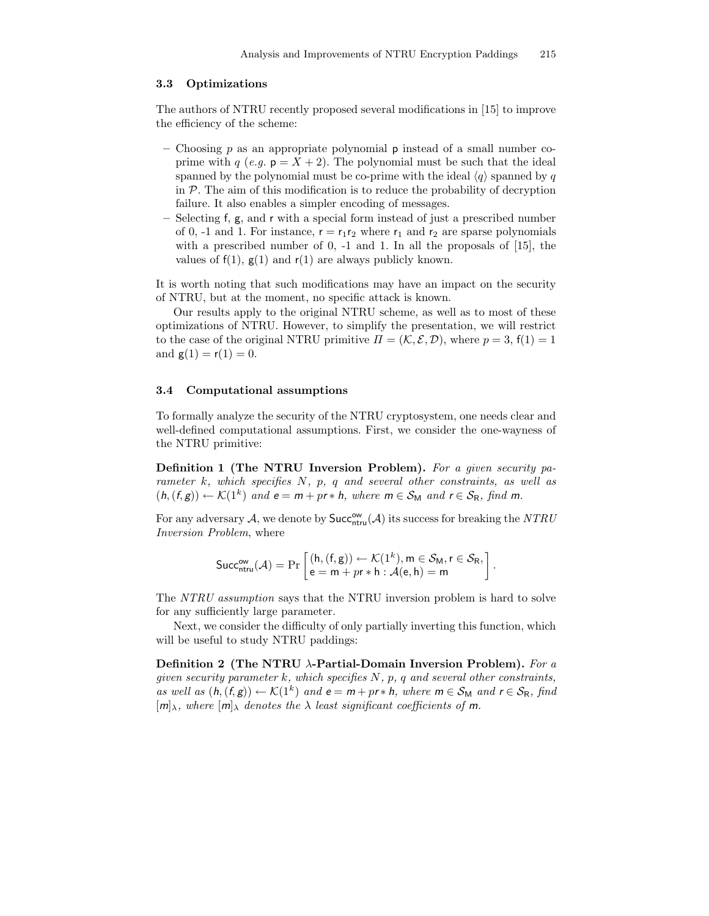#### 3.3 Optimizations

The authors of NTRU recently proposed several modifications in [15] to improve the efficiency of the scheme:

- Choosing p as an appropriate polynomial **p** instead of a small number coprime with q (e.g.  $p = X + 2$ ). The polynomial must be such that the ideal spanned by the polynomial must be co-prime with the ideal  $\langle q \rangle$  spanned by q in  $\mathcal P$ . The aim of this modification is to reduce the probability of decryption failure. It also enables a simpler encoding of messages.
- Selecting f, g, and r with a special form instead of just a prescribed number of 0, -1 and 1. For instance,  $r = r_1r_2$  where  $r_1$  and  $r_2$  are sparse polynomials with a prescribed number of 0, -1 and 1. In all the proposals of [15], the values of  $f(1)$ ,  $g(1)$  and  $r(1)$  are always publicly known.

It is worth noting that such modifications may have an impact on the security of NTRU, but at the moment, no specific attack is known.

Our results apply to the original NTRU scheme, as well as to most of these optimizations of NTRU. However, to simplify the presentation, we will restrict to the case of the original NTRU primitive  $\Pi = (\mathcal{K}, \mathcal{E}, \mathcal{D})$ , where  $p = 3$ ,  $f(1) = 1$ and  $g(1) = r(1) = 0$ .

#### 3.4 Computational assumptions

To formally analyze the security of the NTRU cryptosystem, one needs clear and well-defined computational assumptions. First, we consider the one-wayness of the NTRU primitive:

Definition 1 (The NTRU Inversion Problem). For a given security parameter k, which specifies  $N$ ,  $p$ ,  $q$  and several other constraints, as well as  $(h, (f, g)) \leftarrow \mathcal{K}(1^k)$  and  $e = m + pr * h$ , where  $m \in \mathcal{S}_M$  and  $r \in \mathcal{S}_R$ , find m.

For any adversary  $A$ , we denote by  $\mathsf{Succ}^{\mathsf{ow}}_{\mathsf{ntru}}(\mathcal{A})$  its success for breaking the  $NTRU$ Inversion Problem, where

$$
\mathsf{Succ}^{\mathsf{ow}}_{\mathsf{ntru}}(\mathcal{A}) = \Pr\left[\begin{matrix} (\mathsf{h},(\mathsf{f},\mathsf{g})) \leftarrow \mathcal{K}(1^k), \mathsf{m} \in \mathcal{S}_{\mathsf{M}}, \mathsf{r} \in \mathcal{S}_{\mathsf{R}}, \\ \mathsf{e} = \mathsf{m} + pr * \mathsf{h} : \mathcal{A}(\mathsf{e},\mathsf{h}) = \mathsf{m} \end{matrix}\right].
$$

The NTRU assumption says that the NTRU inversion problem is hard to solve for any sufficiently large parameter.

Next, we consider the difficulty of only partially inverting this function, which will be useful to study NTRU paddings:

Definition 2 (The NTRU  $\lambda$ -Partial-Domain Inversion Problem). For a given security parameter k, which specifies  $N$ , p, q and several other constraints, as well as  $(h, (f, g)) \leftarrow \mathcal{K}(1^k)$  and  $e = m + pr * h$ , where  $m \in \mathcal{S}_M$  and  $r \in \mathcal{S}_R$ , find  $[m]_{\lambda}$ , where  $[m]_{\lambda}$  denotes the  $\lambda$  least significant coefficients of m.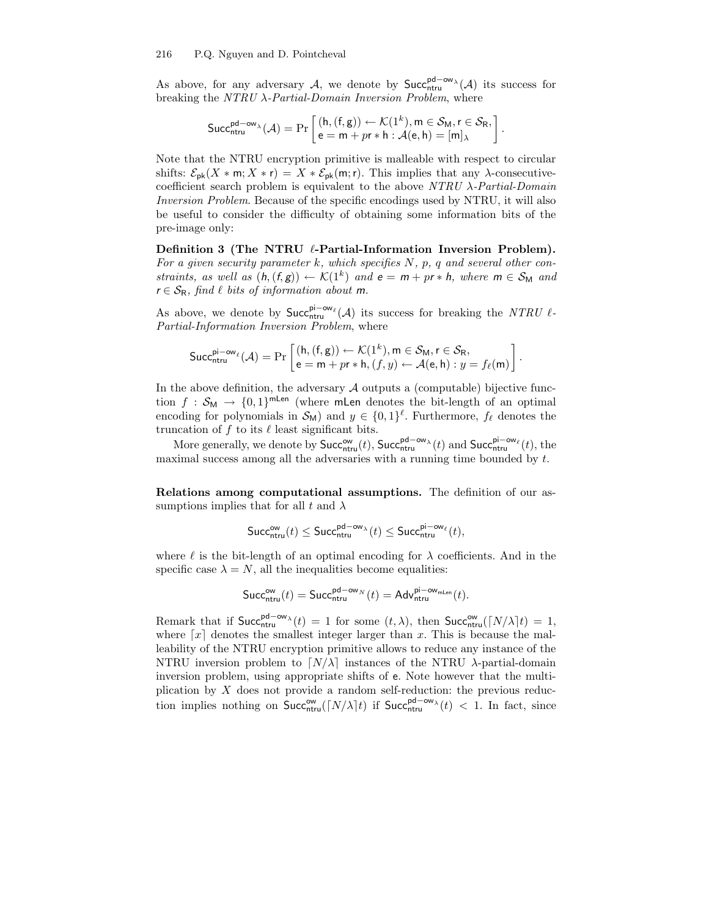As above, for any adversary A, we denote by  $Succ_{ntru}^{pd-\omega_{N}}(A)$  its success for breaking the  $NTRU \lambda$ -Partial-Domain Inversion Problem, where

$$
\mathsf{Succ}_{\mathsf{ntru}}^{\mathsf{pd}-\mathsf{ow}_\lambda}(\mathcal{A}) = \Pr\left[\begin{matrix} (\mathsf{h},(\mathsf{f},\mathsf{g})) \leftarrow \mathcal{K}(1^k), \mathsf{m} \in \mathcal{S}_{\mathsf{M}}, \mathsf{r} \in \mathcal{S}_{\mathsf{R}}, \\ \mathsf{e} = \mathsf{m} + pr * \mathsf{h} : \mathcal{A}(\mathsf{e},\mathsf{h}) = [\mathsf{m}]_\lambda \end{matrix}\right]
$$

.

.

Note that the NTRU encryption primitive is malleable with respect to circular shifts:  $\mathcal{E}_{\mathsf{pk}}(X \ast \mathsf{m}; X \ast \mathsf{r}) = X \ast \mathcal{E}_{\mathsf{pk}}(\mathsf{m}; \mathsf{r})$ . This implies that any  $\lambda$ -consecutivecoefficient search problem is equivalent to the above  $NTRU$   $\lambda$ -Partial-Domain Inversion Problem. Because of the specific encodings used by NTRU, it will also be useful to consider the difficulty of obtaining some information bits of the pre-image only:

Definition 3 (The NTRU  $\ell$ -Partial-Information Inversion Problem). For a given security parameter k, which specifies  $N$ ,  $p$ ,  $q$  and several other constraints, as well as  $(h, (f, g)) \leftarrow \mathcal{K}(1^k)$  and  $e = m + pr * h$ , where  $m \in \mathcal{S}_{M}$  and  $r \in S_R$ , find  $\ell$  bits of information about m.

As above, we denote by  $\mathsf{Succ}_{\mathsf{ntru}}^{\mathsf{pi}-\mathsf{ow}_\ell}(\mathcal{A})$  its success for breaking the NTRU  $\ell$ -Partial-Information Inversion Problem, where

$$
\mathsf{Succ}_{\mathsf{ntru}}^{\mathsf{pi}-\mathsf{ow}_\ell}(\mathcal{A}) = \Pr\left[\begin{matrix} (\mathsf{h},(\mathsf{f},\mathsf{g})) \leftarrow \mathcal{K}(1^k), \mathsf{m} \in \mathcal{S}_{\mathsf{M}}, \mathsf{r} \in \mathcal{S}_{\mathsf{R}}, \\ \mathsf{e} = \mathsf{m} + pr * \mathsf{h}, (f,y) \leftarrow \mathcal{A}(\mathsf{e},\mathsf{h}): y = f_\ell(\mathsf{m}) \end{matrix}\right]\right.
$$

In the above definition, the adversary  $A$  outputs a (computable) bijective function  $f : S_M \to \{0,1\}^{m \text{Len}}$  (where mLen denotes the bit-length of an optimal encoding for polynomials in  $\mathcal{S}_{M}$  and  $y \in \{0,1\}^{\ell}$ . Furthermore,  $f_{\ell}$  denotes the truncation of  $f$  to its  $\ell$  least significant bits.

More generally, we denote by  $\mathsf{Succ}^{\mathsf{ow}}_{\mathsf{ntru}}(t)$ ,  $\mathsf{Succ}^{\mathsf{pd}-\mathsf{ow}}_{\mathsf{ntru}}(t)$  and  $\mathsf{Succ}^{\mathsf{pi}-\mathsf{ow}}_{\mathsf{ntru}}(t)$ , the maximal success among all the adversaries with a running time bounded by t.

Relations among computational assumptions. The definition of our assumptions implies that for all t and  $\lambda$ 

$$
\mathsf{Succ}_{\mathsf{ntru}}^{\mathsf{ow}}(t) \leq \mathsf{Succ}_{\mathsf{ntru}}^{\mathsf{pd}-\mathsf{ow}_\lambda}(t) \leq \mathsf{Succ}_{\mathsf{ntru}}^{\mathsf{pi}-\mathsf{ow}_\ell}(t),
$$

where  $\ell$  is the bit-length of an optimal encoding for  $\lambda$  coefficients. And in the specific case  $\lambda = N$ , all the inequalities become equalities:

$$
\mathsf{Succ}^{\mathsf{ow}}_{\mathsf{ntru}}(t) = \mathsf{Succ}^{\mathsf{pd}-\mathsf{ow}_N}_{\mathsf{ntru}}(t) = \mathsf{Adv}^{\mathsf{pi}-\mathsf{ow}_{\mathsf{mLen}}}_{\mathsf{ntru}}(t).
$$

Remark that if  $\text{Succ}_{\text{ntru}}^{\text{pd}-\text{ow}}(t) = 1$  for some  $(t, \lambda)$ , then  $\text{Succ}_{\text{ntru}}^{\text{ow}}(\lceil N/\lambda \rceil t) = 1$ , where  $\lceil x \rceil$  denotes the smallest integer larger than x. This is because the malleability of the NTRU encryption primitive allows to reduce any instance of the NTRU inversion problem to  $\lfloor N/\lambda \rfloor$  instances of the NTRU  $\lambda$ -partial-domain inversion problem, using appropriate shifts of e. Note however that the multiplication by  $X$  does not provide a random self-reduction: the previous reduction implies nothing on  $Succ_{ntru}^{\text{ow}}([N/\lambda]t)$  if  $Succ_{ntru}^{\text{pd}-\text{ow}_\lambda}(t) < 1$ . In fact, since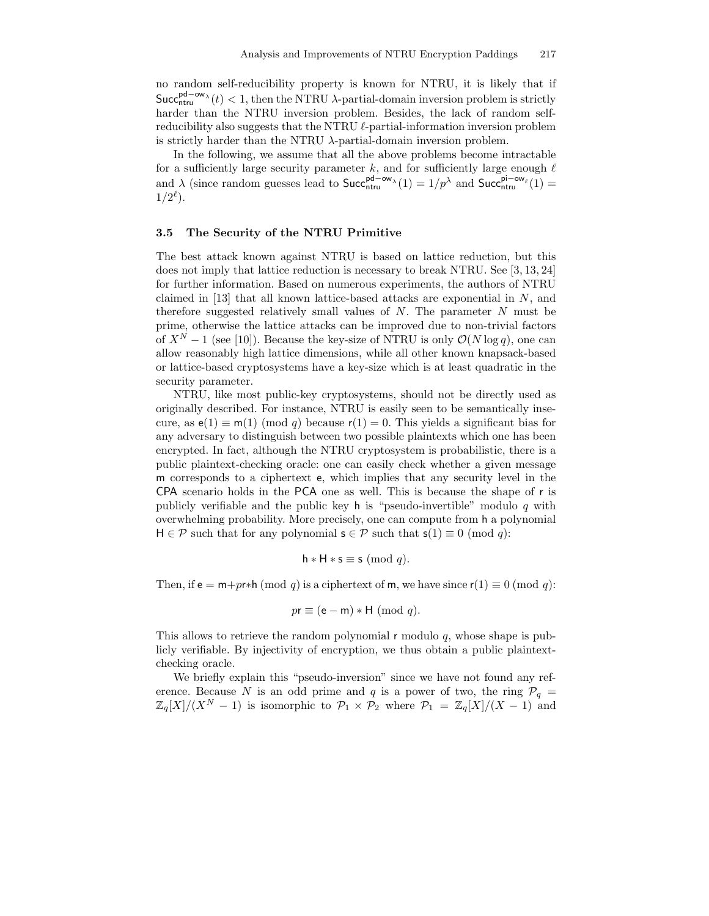no random self-reducibility property is known for NTRU, it is likely that if  $\mathsf{Succ}_{\mathsf{ntru}}^{\mathsf{pd}-\mathsf{ow}_\lambda}(t) < 1$ , then the NTRU  $\lambda$ -partial-domain inversion problem is strictly harder than the NTRU inversion problem. Besides, the lack of random selfreducibility also suggests that the NTRU  $\ell$ -partial-information inversion problem is strictly harder than the NTRU  $\lambda$ -partial-domain inversion problem.

In the following, we assume that all the above problems become intractable for a sufficiently large security parameter k, and for sufficiently large enough  $\ell$ and  $\lambda$  (since random guesses lead to  $\text{Succ}_{\text{ntru}}^{\text{pd}-\text{ow}_{\lambda}}(1) = 1/p^{\lambda}$  and  $\text{Succ}_{\text{ntru}}^{\text{pi}-\text{ow}_{\ell}}(1) =$  $1/2^{\ell}$ ).

## 3.5 The Security of the NTRU Primitive

The best attack known against NTRU is based on lattice reduction, but this does not imply that lattice reduction is necessary to break NTRU. See [3, 13, 24] for further information. Based on numerous experiments, the authors of NTRU claimed in [13] that all known lattice-based attacks are exponential in N, and therefore suggested relatively small values of  $N$ . The parameter  $N$  must be prime, otherwise the lattice attacks can be improved due to non-trivial factors of  $X^N - 1$  (see [10]). Because the key-size of NTRU is only  $\mathcal{O}(N \log q)$ , one can allow reasonably high lattice dimensions, while all other known knapsack-based or lattice-based cryptosystems have a key-size which is at least quadratic in the security parameter.

NTRU, like most public-key cryptosystems, should not be directly used as originally described. For instance, NTRU is easily seen to be semantically insecure, as  $e(1) \equiv m(1) \pmod{q}$  because  $r(1) = 0$ . This yields a significant bias for any adversary to distinguish between two possible plaintexts which one has been encrypted. In fact, although the NTRU cryptosystem is probabilistic, there is a public plaintext-checking oracle: one can easily check whether a given message m corresponds to a ciphertext e, which implies that any security level in the CPA scenario holds in the PCA one as well. This is because the shape of r is publicly verifiable and the public key h is "pseudo-invertible" modulo q with overwhelming probability. More precisely, one can compute from h a polynomial  $H \in \mathcal{P}$  such that for any polynomial  $s \in \mathcal{P}$  such that  $s(1) \equiv 0 \pmod{q}$ :

$$
h * H * s \equiv s \pmod{q}.
$$

Then, if  $e = m + pr * h \pmod{q}$  is a ciphertext of m, we have since  $r(1) \equiv 0 \pmod{q}$ :

$$
pr \equiv (e - m) * H \pmod{q}.
$$

This allows to retrieve the random polynomial  $r$  modulo  $q$ , whose shape is publicly verifiable. By injectivity of encryption, we thus obtain a public plaintextchecking oracle.

We briefly explain this "pseudo-inversion" since we have not found any reference. Because N is an odd prime and q is a power of two, the ring  $\mathcal{P}_q$  =  $\mathbb{Z}_q[X]/(X^N-1)$  is isomorphic to  $\mathcal{P}_1 \times \mathcal{P}_2$  where  $\mathcal{P}_1 = \mathbb{Z}_q[X]/(X-1)$  and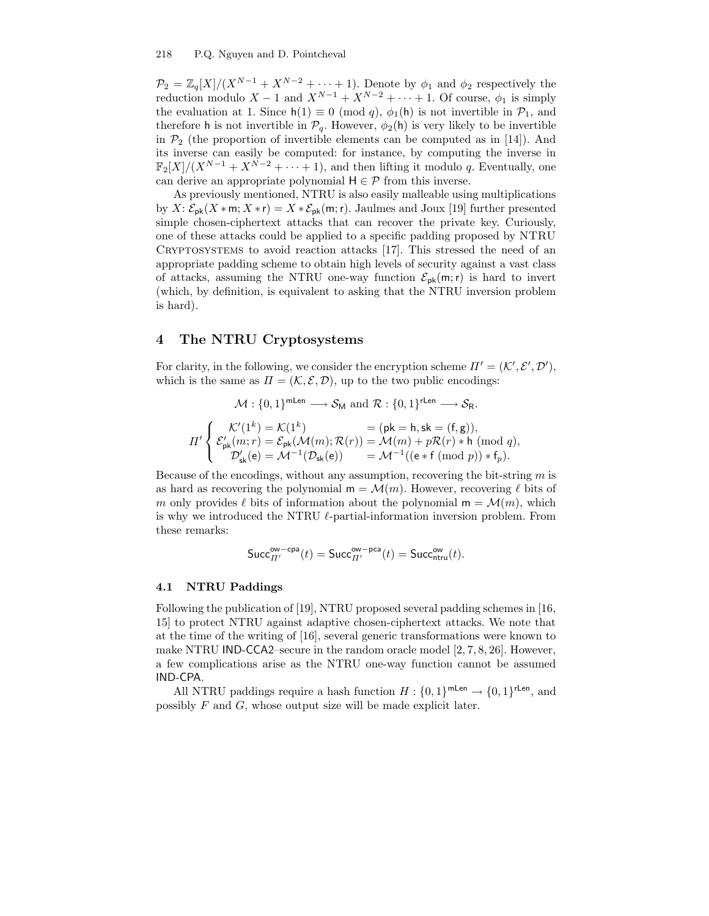#### 218 P.Q. Nguyen and D. Pointcheval

 $\mathcal{P}_2 = \mathbb{Z}_q[X]/(X^{N-1} + X^{N-2} + \cdots + 1)$ . Denote by  $\phi_1$  and  $\phi_2$  respectively the reduction modulo  $X - 1$  and  $X^{N-1} + X^{N-2} + \cdots + 1$ . Of course,  $\phi_1$  is simply the evaluation at 1. Since  $h(1) \equiv 0 \pmod{q}$ ,  $\phi_1(h)$  is not invertible in  $\mathcal{P}_1$ , and therefore h is not invertible in  $\mathcal{P}_q$ . However,  $\phi_2(h)$  is very likely to be invertible in  $\mathcal{P}_2$  (the proportion of invertible elements can be computed as in [14]). And its inverse can easily be computed: for instance, by computing the inverse in  $\mathbb{F}_2[X]/(X^{N-1}+X^{N-2}+\cdots+1)$ , and then lifting it modulo q. Eventually, one can derive an appropriate polynomial  $H \in \mathcal{P}$  from this inverse.

As previously mentioned, NTRU is also easily malleable using multiplications by  $X: \mathcal{E}_{\mathsf{pk}}(X \ast \mathsf{m}; X \ast \mathsf{r}) = X \ast \mathcal{E}_{\mathsf{pk}}(\mathsf{m}; \mathsf{r})$ . Jaulmes and Joux [19] further presented simple chosen-ciphertext attacks that can recover the private key. Curiously, one of these attacks could be applied to a specific padding proposed by NTRU Cryptosystems to avoid reaction attacks [17]. This stressed the need of an appropriate padding scheme to obtain high levels of security against a vast class of attacks, assuming the NTRU one-way function  $\mathcal{E}_{\text{pk}}(m;r)$  is hard to invert (which, by definition, is equivalent to asking that the NTRU inversion problem is hard).

# 4 The NTRU Cryptosystems

For clarity, in the following, we consider the encryption scheme  $\Pi' = (\mathcal{K}', \mathcal{E}', \mathcal{D}'),$ which is the same as  $\Pi = (\mathcal{K}, \mathcal{E}, \mathcal{D})$ , up to the two public encodings:

$$
\mathcal{M}: \{0,1\}^{\mathsf{mLen}} \longrightarrow \mathcal{S}_{\mathsf{M}} \text{ and } \mathcal{R}: \{0,1\}^{\mathsf{rLen}} \longrightarrow \mathcal{S}_{\mathsf{R}}.
$$
\n
$$
\Pi' \left\{ \begin{array}{l} \mathcal{K}'(1^k) = \mathcal{K}(1^k) &= (\mathsf{pk} = \mathsf{h}, \mathsf{sk} = (\mathsf{f}, \mathsf{g})), \\ \mathcal{E}'_{\mathsf{pk}}(m; r) = \mathcal{E}_{\mathsf{pk}}(\mathcal{M}(m); \mathcal{R}(r)) = \mathcal{M}(m) + p\mathcal{R}(r) * \mathsf{h} \pmod{q}, \\ \mathcal{D}'_{\mathsf{sk}}(\mathsf{e}) = \mathcal{M}^{-1}(\mathcal{D}_{\mathsf{sk}}(\mathsf{e})) &= \mathcal{M}^{-1}((\mathsf{e} * \mathsf{f} \pmod{p}) * \mathsf{f}_p). \end{array} \right.
$$

Because of the encodings, without any assumption, recovering the bit-string  $m$  is as hard as recovering the polynomial  $m = \mathcal{M}(m)$ . However, recovering  $\ell$  bits of m only provides  $\ell$  bits of information about the polynomial  $m = \mathcal{M}(m)$ , which is why we introduced the NTRU  $\ell$ -partial-information inversion problem. From these remarks:

$$
\mathsf{Succ}_{\varPi'}^{\mathsf{ow-cpa}}(t) = \mathsf{Succ}_{\varPi'}^{\mathsf{ow-pca}}(t) = \mathsf{Succ}_{\mathsf{ntru}}^{\mathsf{ow}}(t).
$$

### 4.1 NTRU Paddings

Following the publication of [19], NTRU proposed several padding schemes in [16, 15] to protect NTRU against adaptive chosen-ciphertext attacks. We note that at the time of the writing of [16], several generic transformations were known to make NTRU IND-CCA2–secure in the random oracle model [2, 7, 8, 26]. However, a few complications arise as the NTRU one-way function cannot be assumed IND-CPA.

All NTRU paddings require a hash function  $H: \{0,1\}^{\text{mLen}} \to \{0,1\}^{\text{rLen}}$ , and possibly F and G, whose output size will be made explicit later.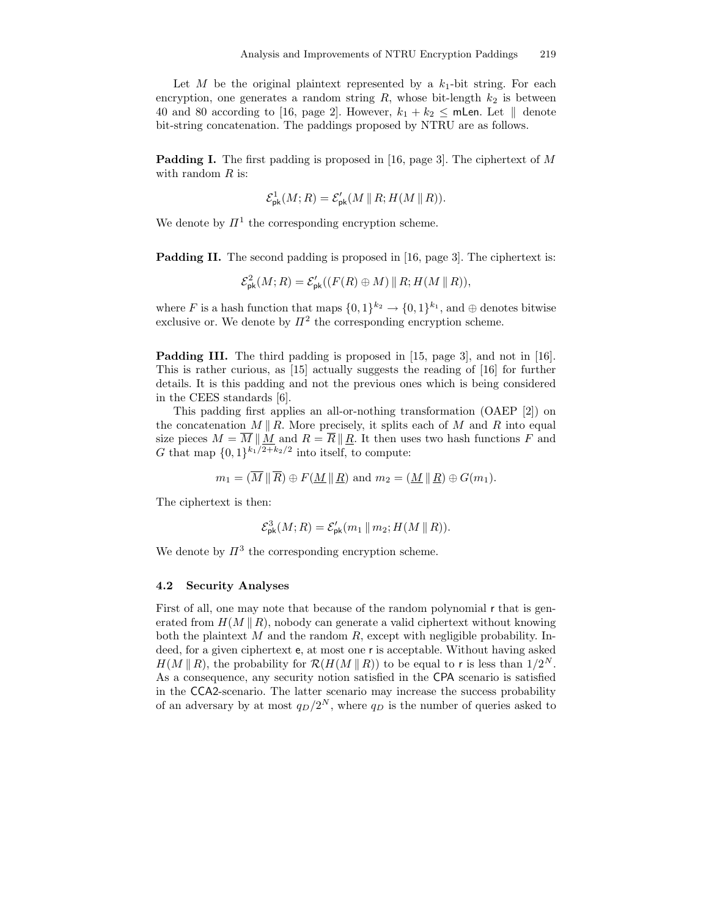Let M be the original plaintext represented by a  $k_1$ -bit string. For each encryption, one generates a random string  $R$ , whose bit-length  $k_2$  is between 40 and 80 according to [16, page 2]. However,  $k_1 + k_2 \leq \text{mLen}$ . Let  $\parallel$  denote bit-string concatenation. The paddings proposed by NTRU are as follows.

Padding I. The first padding is proposed in [16, page 3]. The ciphertext of M with random  $R$  is:

$$
\mathcal{E}_{\mathrm{pk}}^1(M;R) = \mathcal{E}_{\mathrm{pk}}'(M \parallel R; H(M \parallel R)).
$$

We denote by  $\mathbb{\Pi}^1$  the corresponding encryption scheme.

**Padding II.** The second padding is proposed in [16, page 3]. The ciphertext is:

$$
\mathcal{E}_{\mathrm{pk}}^2(M;R) = \mathcal{E}_{\mathrm{pk}}'(F(R) \oplus M) \parallel R; H(M \parallel R)),
$$

where F is a hash function that maps  $\{0,1\}^{k_2} \to \{0,1\}^{k_1}$ , and  $\oplus$  denotes bitwise exclusive or. We denote by  $\mathbb{H}^2$  the corresponding encryption scheme.

Padding III. The third padding is proposed in [15, page 3], and not in [16]. This is rather curious, as [15] actually suggests the reading of [16] for further details. It is this padding and not the previous ones which is being considered in the CEES standards [6].

This padding first applies an all-or-nothing transformation (OAEP [2]) on the concatenation  $M \parallel R$ . More precisely, it splits each of M and R into equal size pieces  $M = M \parallel M$  and  $R = R \parallel R$ . It then uses two hash functions F and G that map  $\{0,1\}^{k_1/2+k_2/2}$  into itself, to compute:

$$
m_1 = (\overline{M} \parallel \overline{R}) \oplus F(\underline{M} \parallel \underline{R})
$$
 and  $m_2 = (\underline{M} \parallel \underline{R}) \oplus G(m_1)$ .

The ciphertext is then:

$$
\mathcal{E}_{\rm pk}^3(M;R) = \mathcal{E}_{\rm pk}'(m_1 \, \| \, m_2; H(M \, \| \, R)).
$$

We denote by  $\mathbb{H}^3$  the corresponding encryption scheme.

#### 4.2 Security Analyses

First of all, one may note that because of the random polynomial r that is generated from  $H(M \| R)$ , nobody can generate a valid ciphertext without knowing both the plaintext  $M$  and the random  $R$ , except with negligible probability. Indeed, for a given ciphertext e, at most one r is acceptable. Without having asked  $H(M \parallel R)$ , the probability for  $\mathcal{R}(H(M \parallel R))$  to be equal to r is less than  $1/2^N$ . As a consequence, any security notion satisfied in the CPA scenario is satisfied in the CCA2-scenario. The latter scenario may increase the success probability of an adversary by at most  $q_D/2^N$ , where  $q_D$  is the number of queries asked to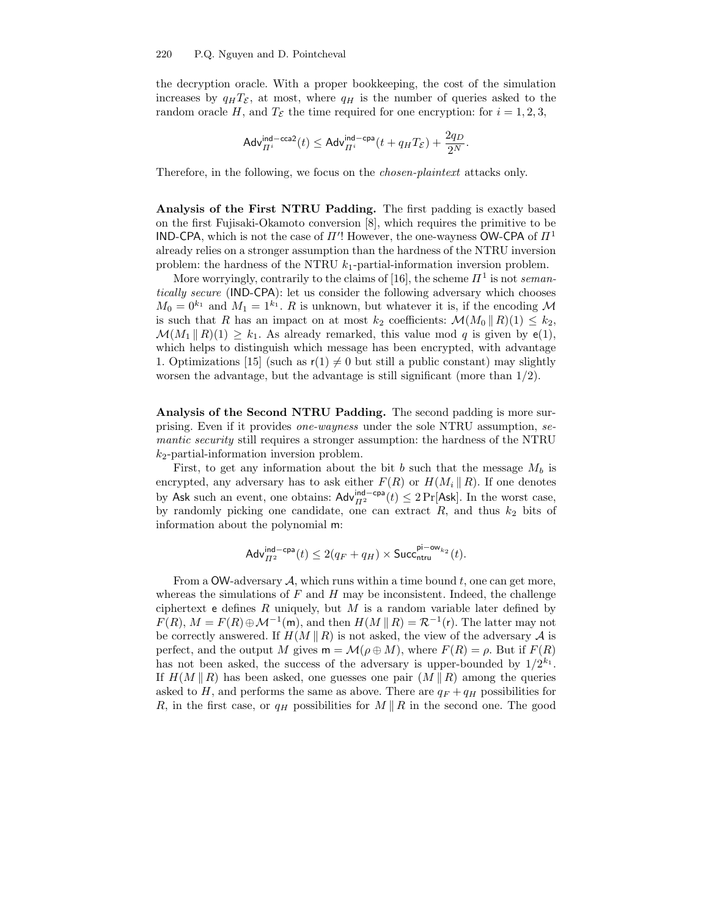the decryption oracle. With a proper bookkeeping, the cost of the simulation increases by  $q_H T_{\mathcal{E}}$ , at most, where  $q_H$  is the number of queries asked to the random oracle H, and  $T_{\mathcal{E}}$  the time required for one encryption: for  $i = 1, 2, 3$ ,

$$
\mathsf{Adv}_{\varPi^i}^{\mathsf{ind-cca2}}(t) \leq \mathsf{Adv}_{\varPi^i}^{\mathsf{ind-cpa}}(t + q_\mathit{H} T_\mathcal{E}) + \frac{2q_D}{2^N}.
$$

Therefore, in the following, we focus on the chosen-plaintext attacks only.

Analysis of the First NTRU Padding. The first padding is exactly based on the first Fujisaki-Okamoto conversion [8], which requires the primitive to be IND-CPA, which is not the case of  $\Pi'$ ! However, the one-wayness OW-CPA of  $\Pi^1$ already relies on a stronger assumption than the hardness of the NTRU inversion problem: the hardness of the NTRU  $k_1$ -partial-information inversion problem.

More worryingly, contrarily to the claims of [16], the scheme  $\Pi^1$  is not semantically secure (IND-CPA): let us consider the following adversary which chooses  $M_0 = 0^{k_1}$  and  $M_1 = 1^{k_1}$ . R is unknown, but whatever it is, if the encoding M is such that R has an impact on at most  $k_2$  coefficients:  $\mathcal{M}(M_0 \parallel R)(1) \leq k_2$ ,  $\mathcal{M}(M_1 \parallel R)(1) \geq k_1$ . As already remarked, this value mod q is given by  $e(1)$ , which helps to distinguish which message has been encrypted, with advantage 1. Optimizations [15] (such as  $r(1) \neq 0$  but still a public constant) may slightly worsen the advantage, but the advantage is still significant (more than 1/2).

Analysis of the Second NTRU Padding. The second padding is more surprising. Even if it provides one-wayness under the sole NTRU assumption, semantic security still requires a stronger assumption: the hardness of the NTRU  $k_2$ -partial-information inversion problem.

First, to get any information about the bit b such that the message  $M_b$  is encrypted, any adversary has to ask either  $F(R)$  or  $H(M_i || R)$ . If one denotes by Ask such an event, one obtains:  $\mathsf{Adv}_{\Pi^2}^{\mathsf{ind-cpa}}(t) \leq 2\Pr[\mathsf{Ask}]$ . In the worst case, by randomly picking one candidate, one can extract  $R$ , and thus  $k_2$  bits of information about the polynomial m:

$$
\mathsf{Adv}_{H^2}^{\mathsf{ind-cpa}}(t) \leq 2(q_F+q_H) \times \mathsf{Succ}_{\mathsf{ntru}}^{\mathsf{pi}-\mathsf{ow}_{k_2}}(t).
$$

From a OW-adversary  $A$ , which runs within a time bound t, one can get more, whereas the simulations of  $F$  and  $H$  may be inconsistent. Indeed, the challenge ciphertext e defines  $R$  uniquely, but  $M$  is a random variable later defined by  $F(R)$ ,  $M = F(R) \oplus \mathcal{M}^{-1}(\mathsf{m})$ , and then  $H(M \parallel R) = \mathcal{R}^{-1}(\mathsf{r})$ . The latter may not be correctly answered. If  $H(M \parallel R)$  is not asked, the view of the adversary A is perfect, and the output M gives  $m = \mathcal{M}(\rho \oplus M)$ , where  $F(R) = \rho$ . But if  $F(R)$ has not been asked, the success of the adversary is upper-bounded by  $1/2^{k_1}$ . If  $H(M \| R)$  has been asked, one guesses one pair  $(M \| R)$  among the queries asked to H, and performs the same as above. There are  $q_F + q_H$  possibilities for R, in the first case, or  $q_H$  possibilities for  $M \parallel R$  in the second one. The good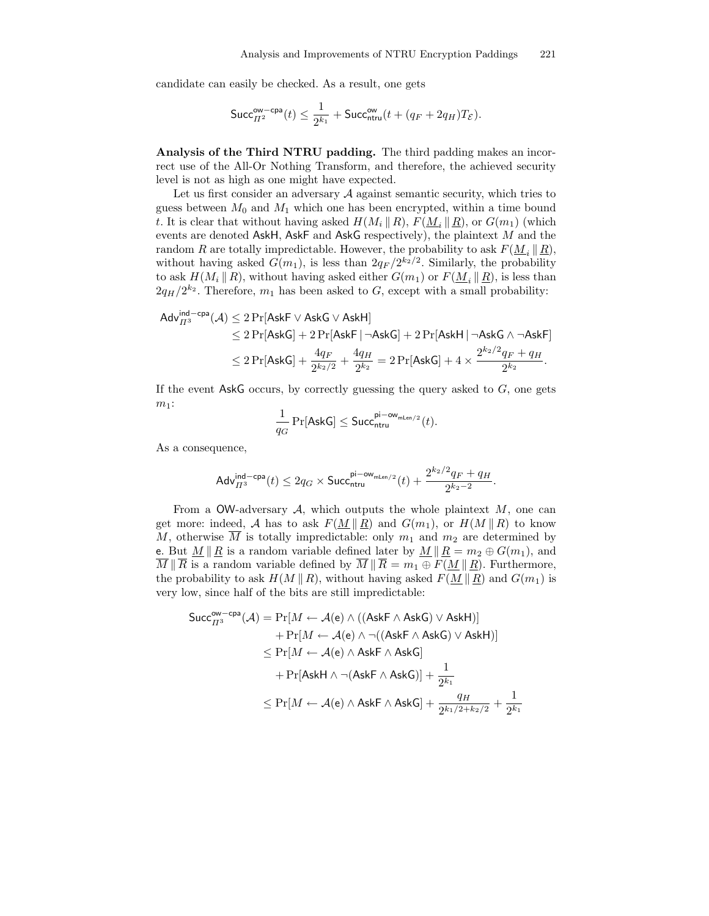candidate can easily be checked. As a result, one gets

$$
\mathsf{Succ}_{H^2}^{\mathsf{ow-cpa}}(t) \leq \frac{1}{2^{k_1}} + \mathsf{Succ}_{\mathsf{ntru}}^{\mathsf{ow}}(t + (q_F + 2q_H)T_{\mathcal{E}}).
$$

Analysis of the Third NTRU padding. The third padding makes an incorrect use of the All-Or Nothing Transform, and therefore, the achieved security level is not as high as one might have expected.

Let us first consider an adversary  $A$  against semantic security, which tries to guess between  $M_0$  and  $M_1$  which one has been encrypted, within a time bound t. It is clear that without having asked  $H(M_i \parallel R)$ ,  $F(\underline{M}_i \parallel \underline{R})$ , or  $G(m_1)$  (which events are denoted AskH, AskF and AskG respectively), the plaintext  $M$  and the random R are totally impredictable. However, the probability to ask  $F(M, \| R)$ , without having asked  $G(m_1)$ , is less than  $2q_F/2^{k_2/2}$ . Similarly, the probability to ask  $H(M_i \parallel R)$ , without having asked either  $G(m_1)$  or  $F(\underline{M}_i \parallel \underline{R})$ , is less than  $2q_H/2^{k_2}$ . Therefore,  $m_1$  has been asked to G, except with a small probability:

$$
\begin{aligned} \text{Adv}^{\text{ind-cpa}}_{H^3}(\mathcal{A}) & \leq 2\Pr[\text{AskF}\vee \text{AskG}\vee \text{AskH}] \\ & \leq 2\Pr[\text{AskG}] + 2\Pr[\text{AskF}\,|\,\neg \text{AskG}] + 2\Pr[\text{AskH}\,|\,\neg \text{AskG}\wedge \neg \text{AskF}] \\ & \leq 2\Pr[\text{AskG}] + \frac{4q_F}{2^{k_2/2}} + \frac{4q_H}{2^{k_2}} = 2\Pr[\text{AskG}] + 4\times \frac{2^{k_2/2}q_F + q_H}{2^{k_2}}. \end{aligned}
$$

If the event  $\mathsf{AskG}$  occurs, by correctly guessing the query asked to  $G$ , one gets  $m_1$ :

$$
\frac{1}{q_G}\Pr[\mathsf{AskG}]\leq \mathsf{Succ}_{\mathsf{ntru}}^{\mathsf{pi}-\mathsf{ow}_{\mathsf{mLen}/2}}(t).
$$

As a consequence,

$$
\mathsf{Adv}_{\Pi^3}^{\mathsf{ind-cpa}}(t) \leq 2q_G \times \mathsf{Succ}_{\mathsf{ntru}}^{\mathsf{pi-ow}_{\mathsf{mLen}/2}}(t) + \frac{2^{k_2/2}q_F + q_H}{2^{k_2-2}}.
$$

From a OW-adversary  $A$ , which outputs the whole plaintext  $M$ , one can get more: indeed, A has to ask  $F(M \| R)$  and  $G(m_1)$ , or  $H(M \| R)$  to know M, otherwise M is totally impredictable: only  $m_1$  and  $m_2$  are determined by e. But  $M \parallel R$  is a random variable defined later by  $M \parallel R = m_2 \oplus G(m_1)$ , and  $\overline{M} \parallel \overline{R}$  is a random variable defined by  $\overline{M} \parallel \overline{R} = m_1 \oplus F(\underline{M} \parallel \underline{R})$ . Furthermore, the probability to ask  $H(M \| R)$ , without having asked  $F(M \| R)$  and  $G(m_1)$  is very low, since half of the bits are still impredictable:

$$
\begin{aligned} \mathsf{Succ}_{H^3}^{\mathsf{ow-cpa}}(\mathcal{A})&=\Pr[M\leftarrow \mathcal{A}(\mathsf{e})\land((\mathsf{AskF}\land\mathsf{AskG})\lor\mathsf{AskH})]\\ &+\Pr[M\leftarrow \mathcal{A}(\mathsf{e})\land\neg((\mathsf{AskF}\land\mathsf{AskG})\lor\mathsf{AskH})]\\ &\leq \Pr[M\leftarrow \mathcal{A}(\mathsf{e})\land\mathsf{AskF}\land\mathsf{AskG}]\\ &+\Pr[\mathsf{AskH}\land\neg(\mathsf{AskF}\land\mathsf{AskG})]+\frac{1}{2^{k_1}}\\ &\leq \Pr[M\leftarrow \mathcal{A}(\mathsf{e})\land\mathsf{AskF}\land\mathsf{AskG}]+\frac{q_H}{2^{k_1/2+k_2/2}}+\frac{1}{2^{k_1}} \end{aligned}
$$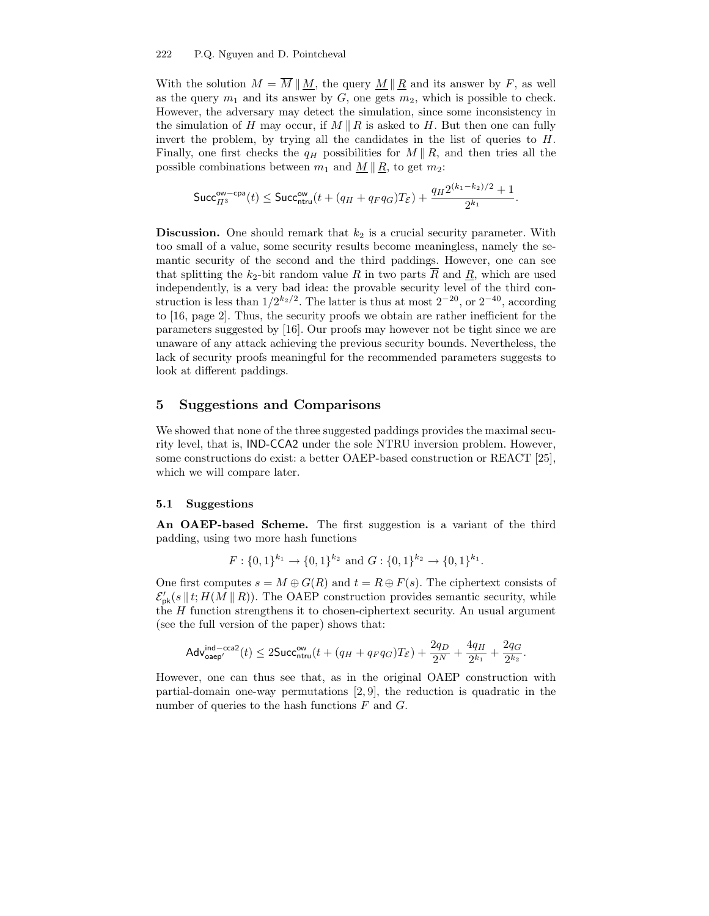With the solution  $M = \overline{M} || M$ , the query  $M || R$  and its answer by F, as well as the query  $m_1$  and its answer by  $G$ , one gets  $m_2$ , which is possible to check. However, the adversary may detect the simulation, since some inconsistency in the simulation of H may occur, if  $M \parallel R$  is asked to H. But then one can fully invert the problem, by trying all the candidates in the list of queries to  $H$ . Finally, one first checks the  $q_H$  possibilities for  $M \parallel R$ , and then tries all the possible combinations between  $m_1$  and  $M \parallel R$ , to get  $m_2$ :

$$
\mathsf{Succ}_{H^3}^{\mathsf{ow-cpa}}(t) \leq \mathsf{Succ}_{\mathsf{ntru}}^{\mathsf{ow}}(t + (q_H + q_F q_G)T_{\mathcal{E}}) + \frac{q_H 2^{(k_1 - k_2)/2} + 1}{2^{k_1}}.
$$

**Discussion.** One should remark that  $k_2$  is a crucial security parameter. With too small of a value, some security results become meaningless, namely the semantic security of the second and the third paddings. However, one can see that splitting the  $k_2$ -bit random value R in two parts  $\overline{R}$  and  $\underline{R}$ , which are used independently, is a very bad idea: the provable security level of the third construction is less than  $1/2^{k_2/2}$ . The latter is thus at most  $2^{-20}$ , or  $2^{-40}$ , according to [16, page 2]. Thus, the security proofs we obtain are rather inefficient for the parameters suggested by [16]. Our proofs may however not be tight since we are unaware of any attack achieving the previous security bounds. Nevertheless, the lack of security proofs meaningful for the recommended parameters suggests to look at different paddings.

## 5 Suggestions and Comparisons

We showed that none of the three suggested paddings provides the maximal security level, that is, IND-CCA2 under the sole NTRU inversion problem. However, some constructions do exist: a better OAEP-based construction or REACT [25], which we will compare later.

## 5.1 Suggestions

An OAEP-based Scheme. The first suggestion is a variant of the third padding, using two more hash functions

$$
F: \{0,1\}^{k_1} \to \{0,1\}^{k_2}
$$
 and  $G: \{0,1\}^{k_2} \to \{0,1\}^{k_1}$ .

One first computes  $s = M \oplus G(R)$  and  $t = R \oplus F(s)$ . The ciphertext consists of  $\mathcal{E}'_{\mathsf{pk}}(s \mid t; H(M \mid R))$ . The OAEP construction provides semantic security, while the H function strengthens it to chosen-ciphertext security. An usual argument (see the full version of the paper) shows that:

$$
\mathsf{Adv}_{\mathsf{oaep}'}^{\mathsf{ind-cca2}}(t) \leq 2\mathsf{Succ}_{\mathsf{ntru}}^{\mathsf{ow}}(t + (q_H + q_Fq_G)T_{\mathcal{E}}) + \frac{2q_D}{2^N} + \frac{4q_H}{2^{k_1}} + \frac{2q_G}{2^{k_2}}.
$$

However, one can thus see that, as in the original OAEP construction with partial-domain one-way permutations  $[2, 9]$ , the reduction is quadratic in the number of queries to the hash functions  $F$  and  $G$ .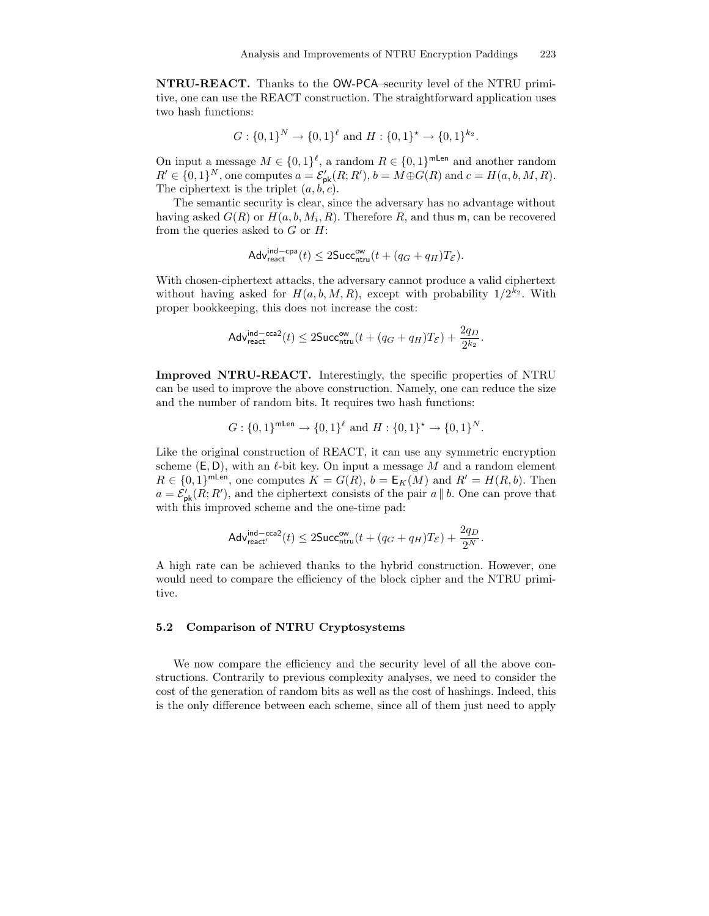NTRU-REACT. Thanks to the OW-PCA–security level of the NTRU primitive, one can use the REACT construction. The straightforward application uses two hash functions:

$$
G: \{0,1\}^N \to \{0,1\}^{\ell} \text{ and } H: \{0,1\}^{\star} \to \{0,1\}^{k_2}.
$$

On input a message  $M \in \{0,1\}^{\ell}$ , a random  $R \in \{0,1\}^{\text{mLen}}$  and another random  $R' \in \{0,1\}^N$ , one computes  $a = \mathcal{E}'_{\mathsf{pk}}(R;R'), b = M \oplus G(R)$  and  $c = H(a, b, M, R)$ . The ciphertext is the triplet  $(a, b, c)$ .

The semantic security is clear, since the adversary has no advantage without having asked  $G(R)$  or  $H(a, b, M_i, R)$ . Therefore R, and thus m, can be recovered from the queries asked to  $G$  or  $H$ :

$$
\mathsf{Adv}_{\mathsf{react}}^{\mathsf{ind-cpa}}(t) \leq 2\mathsf{Succ}_{\mathsf{ntru}}^{\mathsf{ow}}(t + (q_G + q_H)T_{\mathcal{E}}).
$$

With chosen-ciphertext attacks, the adversary cannot produce a valid ciphertext without having asked for  $H(a, b, M, R)$ , except with probability  $1/2^{k_2}$ . With proper bookkeeping, this does not increase the cost:

$$
\mathsf{Adv}_{\mathsf{react}}^{\mathsf{ind}-\mathsf{cca2}}(t) \leq 2\mathsf{Succ}_{\mathsf{ntru}}^{\mathsf{ow}}(t + (q_G + q_H)T_{\mathcal{E}}) + \frac{2q_D}{2^{k_2}}.
$$

Improved NTRU-REACT. Interestingly, the specific properties of NTRU can be used to improve the above construction. Namely, one can reduce the size and the number of random bits. It requires two hash functions:

$$
G: \{0,1\}^{\text{mLen}} \to \{0,1\}^{\ell} \text{ and } H: \{0,1\}^{\star} \to \{0,1\}^{N}.
$$

Like the original construction of REACT, it can use any symmetric encryption scheme  $(E, D)$ , with an  $\ell$ -bit key. On input a message M and a random element  $R \in \{0,1\}^{\text{mLen}}$ , one computes  $K = G(R)$ ,  $b = \mathsf{E}_K(M)$  and  $R' = H(R, b)$ . Then  $a = \mathcal{E}'_{\sf pk}(R; R')$ , and the ciphertext consists of the pair  $a \parallel b$ . One can prove that with this improved scheme and the one-time pad:

$$
\mathsf{Adv}_{\mathsf{react}'}^{\mathsf{ind}-\mathsf{cca2}}(t) \leq 2\mathsf{Succ}_{\mathsf{ntru}}^{\mathsf{ow}}(t + (q_G + q_H)T_{\mathcal{E}}) + \frac{2q_D}{2^N}.
$$

A high rate can be achieved thanks to the hybrid construction. However, one would need to compare the efficiency of the block cipher and the NTRU primitive.

## 5.2 Comparison of NTRU Cryptosystems

We now compare the efficiency and the security level of all the above constructions. Contrarily to previous complexity analyses, we need to consider the cost of the generation of random bits as well as the cost of hashings. Indeed, this is the only difference between each scheme, since all of them just need to apply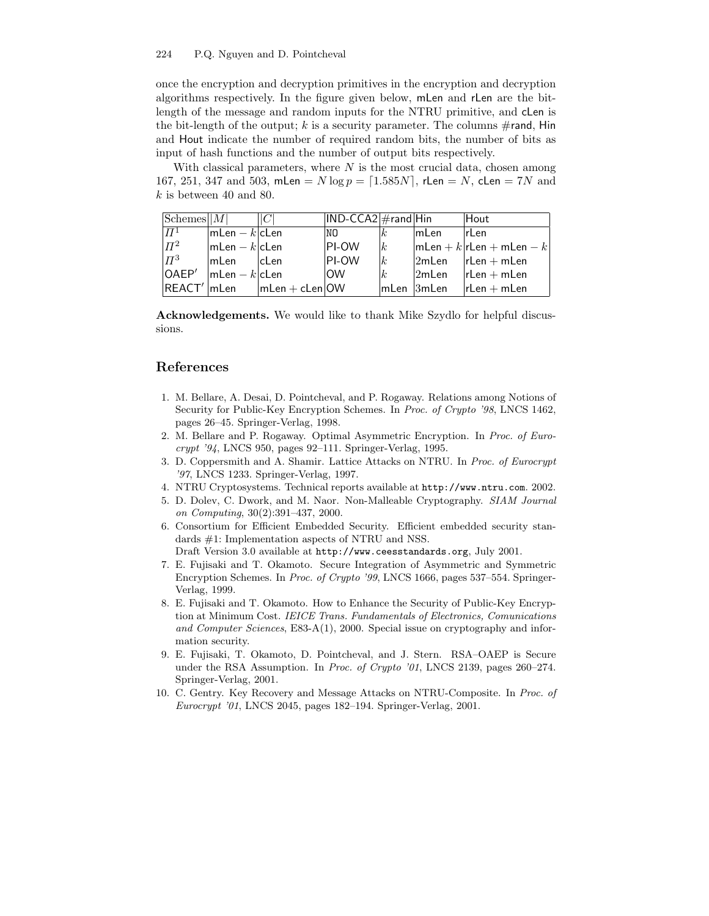#### 224 P.Q. Nguyen and D. Pointcheval

once the encryption and decryption primitives in the encryption and decryption algorithms respectively. In the figure given below, mLen and rLen are the bitlength of the message and random inputs for the NTRU primitive, and cLen is the bit-length of the output; k is a security parameter. The columns  $\#$ rand, Hin and Hout indicate the number of required random bits, the number of bits as input of hash functions and the number of output bits respectively.

With classical parameters, where  $N$  is the most crucial data, chosen among 167, 251, 347 and 503, mLen =  $N \log p = [1.585N]$ , rLen = N, cLen = 7N and  $k$  is between 40 and 80.

| $Schemes$ $ M $   |                 |                  | $\vert$ IND-CCA2 $\vert$ #rand $\vert$ Hin |              |                    | Hout                       |
|-------------------|-----------------|------------------|--------------------------------------------|--------------|--------------------|----------------------------|
| $\varPi^1$        | $mLen - k$ cLen |                  | NO.                                        | $\kappa$     | <b>ImLen</b>       | <b>IrLen</b>               |
| $\Pi^2$           | $mLen - k clen$ |                  | <b>PI-OW</b>                               | $\mathbf{k}$ |                    | $mLen + k rLen + mLen - k$ |
| $\Pi^3$           | lmLen           | cLen             | <b>PI-OW</b>                               | $\mathbf k$  |                    | $2m$ Len $ $ rLen + mLen   |
| OAEP <sup>'</sup> | $mLen - k clen$ |                  | <b>OW</b>                                  | k            | $2m$ Len           | $rLen + mLen$              |
| REACT' mLen       |                 | $mLen + cLen$ OW |                                            |              | $lm$ Len $l3m$ Len | $l$ r $Len + mLen$         |

Acknowledgements. We would like to thank Mike Szydlo for helpful discussions.

# References

- 1. M. Bellare, A. Desai, D. Pointcheval, and P. Rogaway. Relations among Notions of Security for Public-Key Encryption Schemes. In Proc. of Crypto '98, LNCS 1462, pages 26–45. Springer-Verlag, 1998.
- 2. M. Bellare and P. Rogaway. Optimal Asymmetric Encryption. In Proc. of Eurocrypt '94, LNCS 950, pages 92–111. Springer-Verlag, 1995.
- 3. D. Coppersmith and A. Shamir. Lattice Attacks on NTRU. In Proc. of Eurocrypt '97, LNCS 1233. Springer-Verlag, 1997.
- 4. NTRU Cryptosystems. Technical reports available at http://www.ntru.com. 2002.
- 5. D. Dolev, C. Dwork, and M. Naor. Non-Malleable Cryptography. SIAM Journal on Computing, 30(2):391–437, 2000.
- 6. Consortium for Efficient Embedded Security. Efficient embedded security standards #1: Implementation aspects of NTRU and NSS.

Draft Version 3.0 available at http://www.ceesstandards.org, July 2001.

- 7. E. Fujisaki and T. Okamoto. Secure Integration of Asymmetric and Symmetric Encryption Schemes. In Proc. of Crypto '99, LNCS 1666, pages 537–554. Springer-Verlag, 1999.
- 8. E. Fujisaki and T. Okamoto. How to Enhance the Security of Public-Key Encryption at Minimum Cost. IEICE Trans. Fundamentals of Electronics, Comunications and Computer Sciences, E83-A(1), 2000. Special issue on cryptography and information security.
- 9. E. Fujisaki, T. Okamoto, D. Pointcheval, and J. Stern. RSA–OAEP is Secure under the RSA Assumption. In *Proc. of Crypto '01*, LNCS 2139, pages 260–274. Springer-Verlag, 2001.
- 10. C. Gentry. Key Recovery and Message Attacks on NTRU-Composite. In Proc. of Eurocrypt '01, LNCS 2045, pages 182–194. Springer-Verlag, 2001.